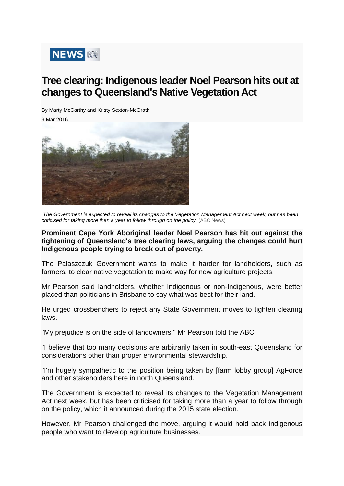

## **Tree clearing: Indigenous leader Noel Pearson hits out at changes to Queensland's Native Vegetation Act**

**\_\_\_\_\_\_\_\_\_\_\_\_\_\_\_\_\_\_\_\_\_\_\_\_\_\_\_\_\_\_\_\_\_\_\_\_\_\_\_\_\_\_\_\_\_\_\_\_\_\_\_\_\_\_\_\_\_\_\_\_\_\_\_\_\_\_\_\_\_\_\_\_\_\_\_\_\_\_\_\_\_\_\_\_\_\_\_\_\_\_\_\_\_\_\_\_\_\_\_\_\_\_\_\_\_\_\_\_\_\_\_\_\_\_\_\_\_\_\_**

By Marty McCarthy and Kristy Sexton-McGrath

[9 Mar 2016](http://www.abc.net.au/news/2016-03-08/wide-shot-of-land-clearing-on-central-queensland-property/7231002)



*The Government is expected to reveal its changes to the Vegetation Management Act next week, but has been criticised for taking more than a year to follow through on the policy.* (ABC News)

## **Prominent Cape York Aboriginal leader Noel Pearson has hit out against the tightening of Queensland's tree clearing laws, arguing the changes could hurt Indigenous people trying to break out of poverty.**

The Palaszczuk Government wants to make it harder for landholders, such as farmers, to clear native vegetation to make way for new agriculture projects.

Mr Pearson said landholders, whether Indigenous or non-Indigenous, were better placed than politicians in Brisbane to say what was best for their land.

He urged crossbenchers to reject any State Government moves to tighten clearing laws.

"My prejudice is on the side of landowners," Mr Pearson told the ABC.

"I believe that too many decisions are arbitrarily taken in south-east Queensland for considerations other than proper environmental stewardship.

"I'm hugely sympathetic to the position being taken by [farm lobby group] AgForce and other stakeholders here in north Queensland."

The Government is expected to reveal its changes to the Vegetation Management Act next week, but has been criticised for taking more than a year to follow through on the policy, which it announced during the 2015 state election.

However, Mr Pearson challenged the move, arguing it would hold back Indigenous people who want to develop agriculture businesses.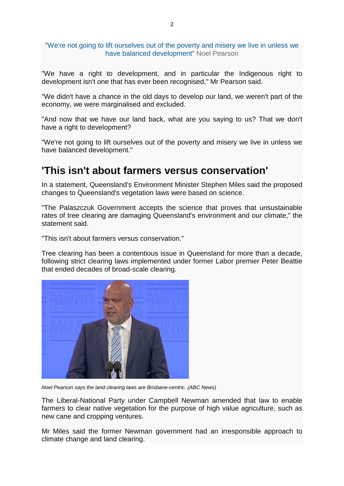"We're not going to lift ourselves out of the poverty and misery we live in unless we have balanced development" Noel Pearson

"We have a right to development, and in particular the Indigenous right to development isn't one that has ever been recognised," Mr Pearson said.

"We didn't have a chance in the old days to develop our land, we weren't part of the economy, we were marginalised and excluded.

"And now that we have our land back, what are you saying to us? That we don't have a right to development?

"We're not going to lift ourselves out of the poverty and misery we live in unless we have balanced development."

## **'This isn't about farmers versus conservation'**

In a statement, Queensland's Environment Minister Stephen Miles said the proposed changes to Queensland's vegetation laws were based on science.

"The Palaszczuk Government accepts the science that proves that unsustainable rates of tree clearing are damaging Queensland's environment and our climate," the statement said.

"This isn't about farmers versus conservation."

Tree clearing has been a contentious issue in Queensland for more than a decade, following strict clearing laws implemented under former Labor premier Peter Beattie that ended decades of broad-scale clearing.



*Noel Pearson says the land clearing laws are Brisbane-centric. (ABC News)*

The Liberal-National Party under Campbell Newman amended that law to enable farmers to clear native vegetation for the purpose of high value agriculture, such as new cane and cropping ventures.

Mr Miles said the former Newman government had an irresponsible approach to climate change and land clearing.